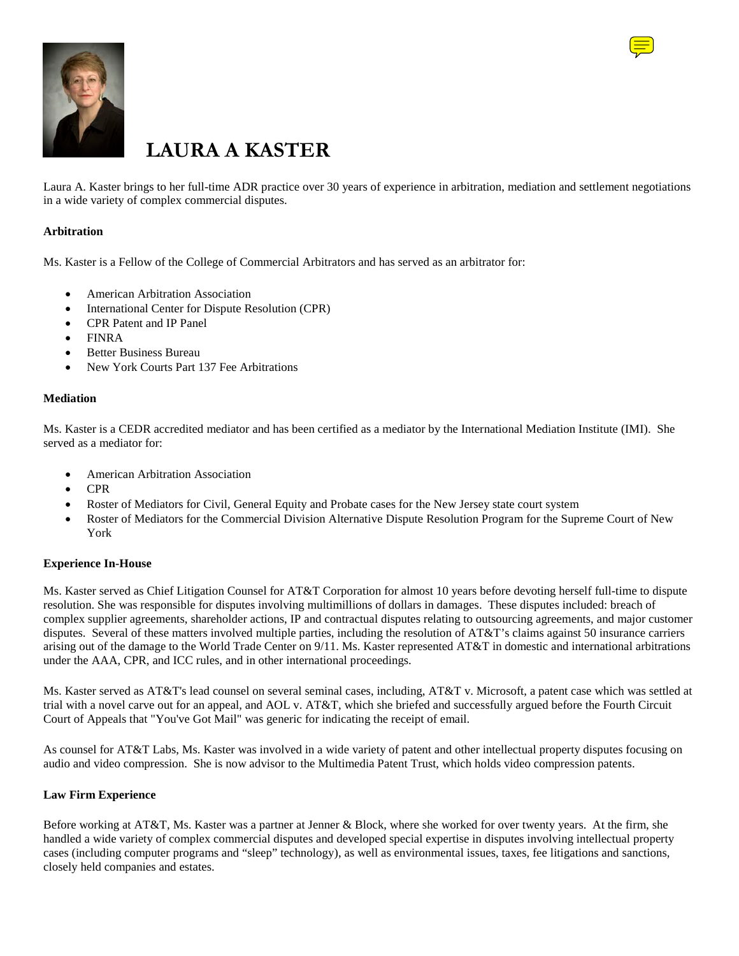



# **LAURA A KASTER**

Laura A. Kaster brings to her full-time ADR practice over 30 years of experience in arbitration, mediation and settlement negotiations in a wide variety of complex commercial disputes.

#### **Arbitration**

Ms. Kaster is a Fellow of the College of Commercial Arbitrators and has served as an arbitrator for:

- American Arbitration Association
- International Center for Dispute Resolution (CPR)
- CPR Patent and IP Panel
- FINRA
- Better Business Bureau
- New York Courts Part 137 Fee Arbitrations

#### **Mediation**

Ms. Kaster is a CEDR accredited mediator and has been certified as a mediator by the International Mediation Institute (IMI). She served as a mediator for:

- American Arbitration Association
- CPR
- Roster of Mediators for Civil, General Equity and Probate cases for the New Jersey state court system
- Roster of Mediators for the Commercial Division Alternative Dispute Resolution Program for the Supreme Court of New York

#### **Experience In-House**

Ms. Kaster served as Chief Litigation Counsel for AT&T Corporation for almost 10 years before devoting herself full-time to dispute resolution. She was responsible for disputes involving multimillions of dollars in damages. These disputes included: breach of complex supplier agreements, shareholder actions, IP and contractual disputes relating to outsourcing agreements, and major customer disputes. Several of these matters involved multiple parties, including the resolution of AT&T's claims against 50 insurance carriers arising out of the damage to the World Trade Center on 9/11. Ms. Kaster represented AT&T in domestic and international arbitrations under the AAA, CPR, and ICC rules, and in other international proceedings.

Ms. Kaster served as AT&T's lead counsel on several seminal cases, including, AT&T v. Microsoft, a patent case which was settled at trial with a novel carve out for an appeal, and AOL v. AT&T, which she briefed and successfully argued before the Fourth Circuit Court of Appeals that "You've Got Mail" was generic for indicating the receipt of email.

As counsel for AT&T Labs, Ms. Kaster was involved in a wide variety of patent and other intellectual property disputes focusing on audio and video compression. She is now advisor to the Multimedia Patent Trust, which holds video compression patents.

#### **Law Firm Experience**

Before working at AT&T, Ms. Kaster was a partner at Jenner & Block, where she worked for over twenty years. At the firm, she handled a wide variety of complex commercial disputes and developed special expertise in disputes involving intellectual property cases (including computer programs and "sleep" technology), as well as environmental issues, taxes, fee litigations and sanctions, closely held companies and estates.